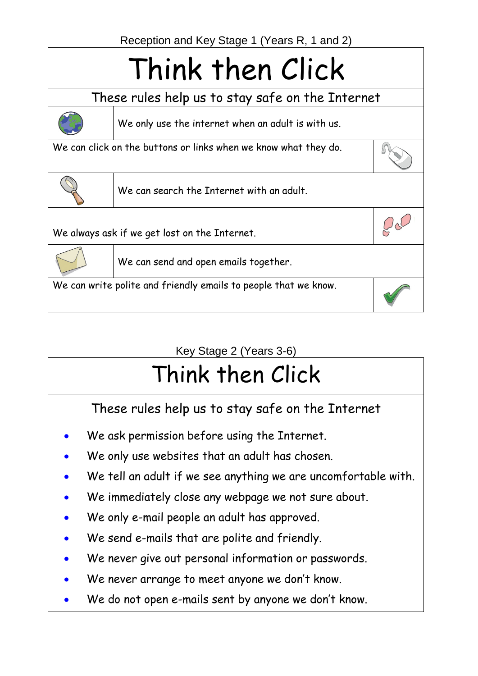## Think then Click

These rules help us to stay safe on the Internet



We only use the internet when an adult is with us.

We can click on the buttons or links when we know what they do.



 $Q_{\infty}$ 



We can search the Internet with an adult.

We always ask if we get lost on the Internet.



We can send and open emails together.

We can write polite and friendly emails to people that we know.

Key Stage 2 (Years 3-6)

## Think then Click

These rules help us to stay safe on the Internet

- We ask permission before using the Internet.
- We only use websites that an adult has chosen.
- We tell an adult if we see anything we are uncomfortable with.
- We immediately close any webpage we not sure about.
- We only e-mail people an adult has approved.
- We send e-mails that are polite and friendly.
- We never give out personal information or passwords.
- We never arrange to meet anyone we don't know.
- We do not open e-mails sent by anyone we don't know.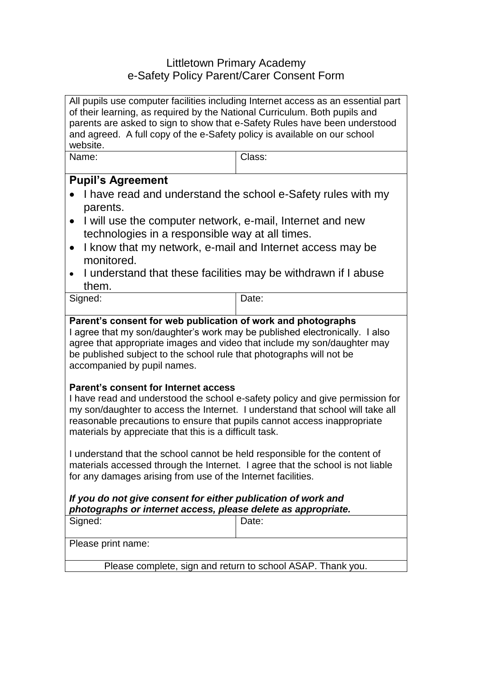## Littletown Primary Academy e-Safety Policy Parent/Carer Consent Form

| All pupils use computer facilities including Internet access as an essential part<br>of their learning, as required by the National Curriculum. Both pupils and<br>parents are asked to sign to show that e-Safety Rules have been understood<br>and agreed. A full copy of the e-Safety policy is available on our school<br>website.                                                                                                                         |        |
|----------------------------------------------------------------------------------------------------------------------------------------------------------------------------------------------------------------------------------------------------------------------------------------------------------------------------------------------------------------------------------------------------------------------------------------------------------------|--------|
| Name:                                                                                                                                                                                                                                                                                                                                                                                                                                                          | Class: |
| <b>Pupil's Agreement</b><br>I have read and understand the school e-Safety rules with my<br>parents.<br>I will use the computer network, e-mail, Internet and new<br>$\bullet$<br>technologies in a responsible way at all times.<br>I know that my network, e-mail and Internet access may be<br>$\bullet$<br>monitored.<br>I understand that these facilities may be withdrawn if I abuse<br>them.                                                           |        |
| Signed:                                                                                                                                                                                                                                                                                                                                                                                                                                                        | Date:  |
| Parent's consent for web publication of work and photographs<br>I agree that my son/daughter's work may be published electronically. I also<br>agree that appropriate images and video that include my son/daughter may<br>be published subject to the school rule that photographs will not be<br>accompanied by pupil names.<br><b>Parent's consent for Internet access</b><br>I have read and understood the school e-safety policy and give permission for |        |
| my son/daughter to access the Internet. I understand that school will take all<br>reasonable precautions to ensure that pupils cannot access inappropriate<br>materials by appreciate that this is a difficult task.                                                                                                                                                                                                                                           |        |
| I understand that the school cannot be held responsible for the content of<br>materials accessed through the Internet. I agree that the school is not liable<br>for any damages arising from use of the Internet facilities.                                                                                                                                                                                                                                   |        |
| If you do not give consent for either publication of work and<br>photographs or internet access, please delete as appropriate.                                                                                                                                                                                                                                                                                                                                 |        |
| Signed:                                                                                                                                                                                                                                                                                                                                                                                                                                                        | Date:  |
| Please print name:                                                                                                                                                                                                                                                                                                                                                                                                                                             |        |
| Please complete, sign and return to school ASAP. Thank you.                                                                                                                                                                                                                                                                                                                                                                                                    |        |
|                                                                                                                                                                                                                                                                                                                                                                                                                                                                |        |